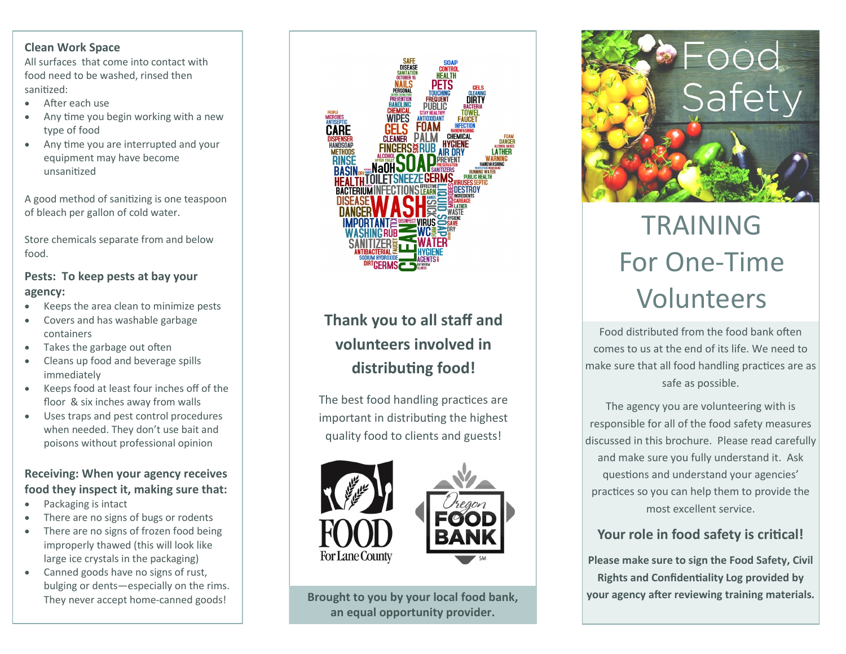# **Clean Work Space**

All surfaces that come into contact with food need to be washed, rinsed then sanitized:

- After each use
- Any time you begin working with a new type of food
- Any time you are interrupted and your equipment may have become unsanitized

A good method of sanitizing is one teaspoon of bleach per gallon of cold water.

Store chemicals separate from and below food.

# **Pests: To keep pests at bay your agency:**

- Keeps the area clean to minimize pests
- Covers and has washable garbage containers
- Takes the garbage out often
- Cleans up food and beverage spills immediately
- Keeps food at least four inches off of the floor & six inches away from walls
- Uses traps and pest control procedures when needed. They don't use bait and poisons without professional opinion

# **Receiving: When your agency receives food they inspect it, making sure that:**

- Packaging is intact
- There are no signs of bugs or rodents
- There are no signs of frozen food being improperly thawed (this will look like large ice crystals in the packaging)
- Canned goods have no signs of rust, bulging or dents—especially on the rims. They never accept home-canned goods!



# **Thank you to all staff and volunteers involved in distributing food!**

The best food handling practices are important in distributing the highest quality food to clients and guests!







# TRAINING For One-Time Volunteers

Food distributed from the food bank often comes to us at the end of its life. We need to make sure that all food handling practices are as safe as possible.

The agency you are volunteering with is responsible for all of the food safety measures discussed in this brochure. Please read carefully and make sure you fully understand it. Ask questions and understand your agencies' practices so you can help them to provide the most excellent service.

# **Your role in food safety is critical!**

**Please make sure to sign the Food Safety, Civil Rights and Confidentiality Log provided by**